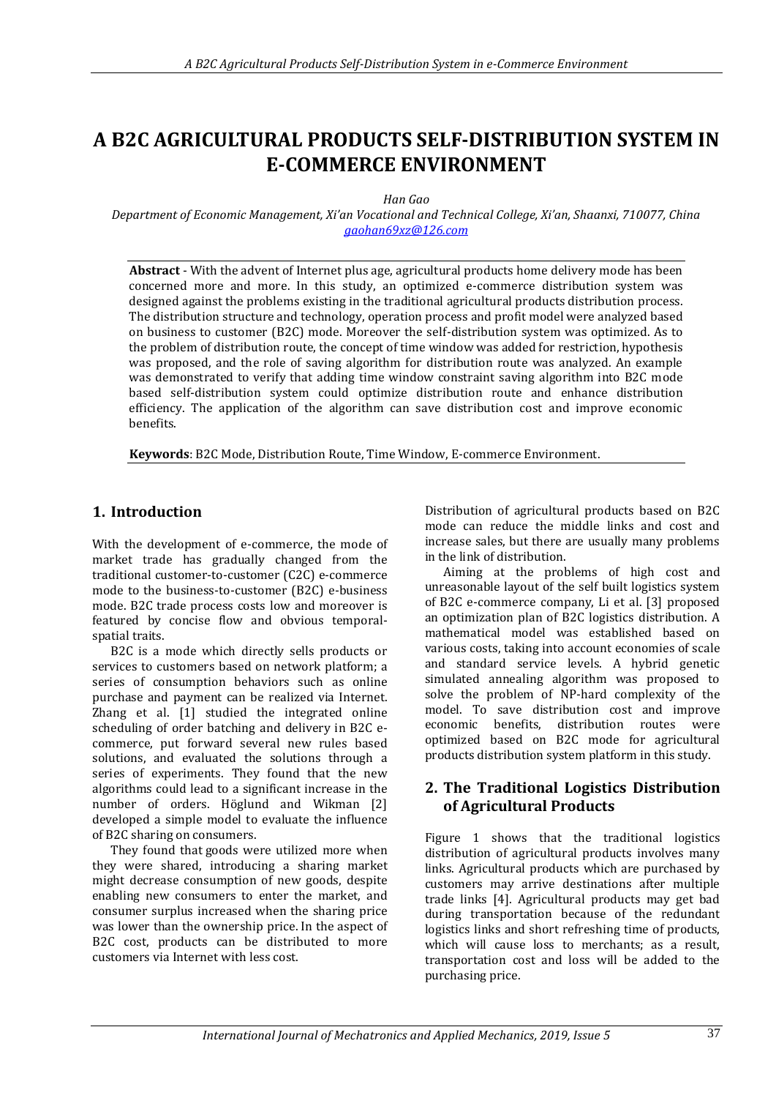# **A B2C AGRICULTURAL PRODUCTS SELF-DISTRIBUTION SYSTEM IN E-COMMERCE ENVIRONMENT**

*Han Gao*

*Department of Economic Management, Xi'an Vocational and Technical College, Xi'an, Shaanxi, 710077, China [gaohan69xz@126.com](mailto:gaohan69xz@126.com)*

**Abstract** - With the advent of Internet plus age, agricultural products home delivery mode has been concerned more and more. In this study, an optimized e-commerce distribution system was designed against the problems existing in the traditional agricultural products distribution process. The distribution structure and technology, operation process and profit model were analyzed based on business to customer (B2C) mode. Moreover the self-distribution system was optimized. As to the problem of distribution route, the concept of time window was added for restriction, hypothesis was proposed, and the role of saving algorithm for distribution route was analyzed. An example was demonstrated to verify that adding time window constraint saving algorithm into B2C mode based self-distribution system could optimize distribution route and enhance distribution efficiency. The application of the algorithm can save distribution cost and improve economic benefits.

**Keywords**: B2C Mode, Distribution Route, Time Window, E-commerce Environment.

# **1. Introduction**

With the development of e-commerce, the mode of market trade has gradually changed from the traditional customer-to-customer (C2C) e-commerce mode to the business-to-customer (B2C) e-business mode. B2C trade process costs low and moreover is featured by concise flow and obvious temporalspatial traits.

B2C is a mode which directly sells products or services to customers based on network platform; a series of consumption behaviors such as online purchase and payment can be realized via Internet. Zhang et al. [1] studied the integrated online scheduling of order batching and delivery in B2C ecommerce, put forward several new rules based solutions, and evaluated the solutions through a series of experiments. They found that the new algorithms could lead to a significant increase in the number of orders. Höglund and Wikman [2] developed a simple model to evaluate the influence of B2C sharing on consumers.

They found that goods were utilized more when they were shared, introducing a sharing market might decrease consumption of new goods, despite enabling new consumers to enter the market, and consumer surplus increased when the sharing price was lower than the ownership price. In the aspect of B2C cost, products can be distributed to more customers via Internet with less cost.

Distribution of agricultural products based on B2C mode can reduce the middle links and cost and increase sales, but there are usually many problems in the link of distribution.

Aiming at the problems of high cost and unreasonable layout of the self built logistics system of B2C e-commerce company, Li et al. [3] proposed an optimization plan of B2C logistics distribution. A mathematical model was established based on various costs, taking into account economies of scale and standard service levels. A hybrid genetic simulated annealing algorithm was proposed to solve the problem of NP-hard complexity of the model. To save distribution cost and improve economic benefits, distribution routes were optimized based on B2C mode for agricultural products distribution system platform in this study.

# **2. The Traditional Logistics Distribution of Agricultural Products**

Figure 1 shows that the traditional logistics distribution of agricultural products involves many links. Agricultural products which are purchased by customers may arrive destinations after multiple trade links [4]. Agricultural products may get bad during transportation because of the redundant logistics links and short refreshing time of products, which will cause loss to merchants; as a result, transportation cost and loss will be added to the purchasing price.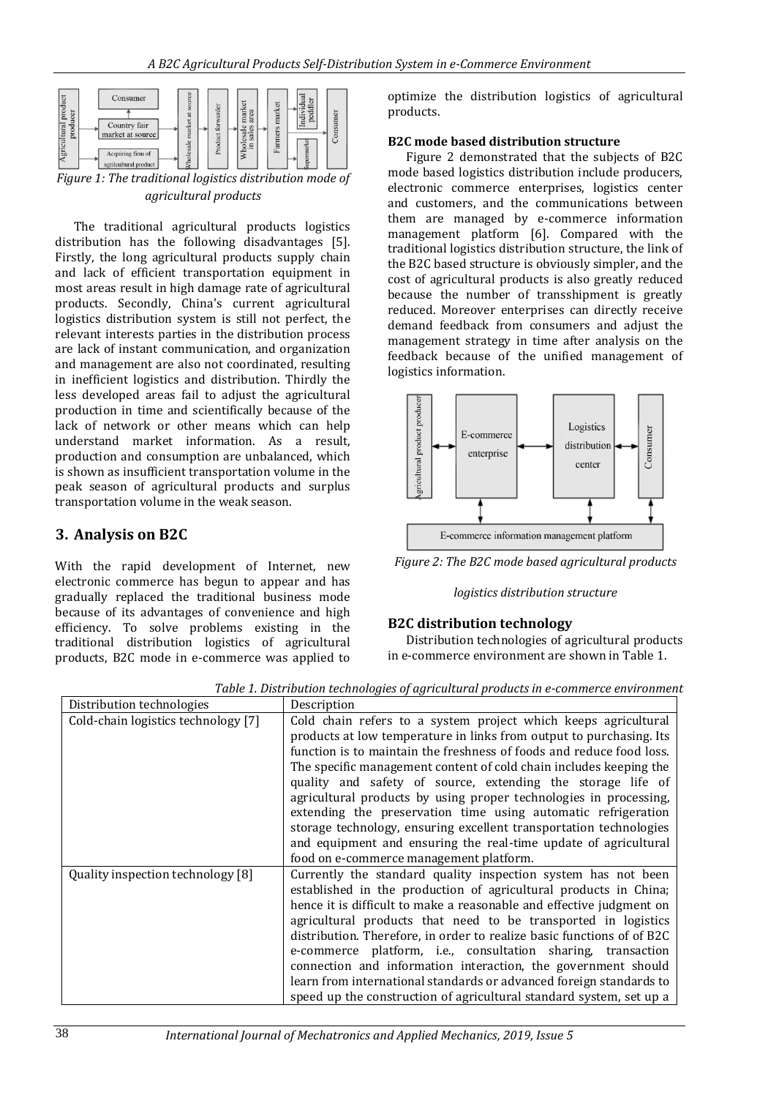

*agricultural products*

The traditional agricultural products logistics distribution has the following disadvantages [5]. Firstly, the long agricultural products supply chain and lack of efficient transportation equipment in most areas result in high damage rate of agricultural products. Secondly, China's current agricultural logistics distribution system is still not perfect, the relevant interests parties in the distribution process are lack of instant communication, and organization and management are also not coordinated, resulting in inefficient logistics and distribution. Thirdly the less developed areas fail to adjust the agricultural production in time and scientifically because of the lack of network or other means which can help understand market information. As a result, production and consumption are unbalanced, which is shown as insufficient transportation volume in the peak season of agricultural products and surplus transportation volume in the weak season.

# **3. Analysis on B2C**

With the rapid development of Internet, new electronic commerce has begun to appear and has gradually replaced the traditional business mode because of its advantages of convenience and high efficiency. To solve problems existing in the traditional distribution logistics of agricultural products, B2C mode in e-commerce was applied to

optimize the distribution logistics of agricultural products.

### **B2C mode based distribution structure**

Figure 2 demonstrated that the subjects of B2C mode based logistics distribution include producers, electronic commerce enterprises, logistics center and customers, and the communications between them are managed by e-commerce information management platform [6]. Compared with the traditional logistics distribution structure, the link of the B2C based structure is obviously simpler, and the cost of agricultural products is also greatly reduced because the number of transshipment is greatly reduced. Moreover enterprises can directly receive demand feedback from consumers and adjust the management strategy in time after analysis on the feedback because of the unified management of logistics information.



*Figure 2: The B2C mode based agricultural products* 

### *logistics distribution structure*

### **B2C distribution technology**

Distribution technologies of agricultural products in e-commerce environment are shown in Table 1.

*Table 1. Distribution technologies of agricultural products in e-commerce environment*

| Distribution technologies           | Description                                                                                                                                                                                                                                                                                                                                                                                                                                                                                                                                                                                                                                                                  |
|-------------------------------------|------------------------------------------------------------------------------------------------------------------------------------------------------------------------------------------------------------------------------------------------------------------------------------------------------------------------------------------------------------------------------------------------------------------------------------------------------------------------------------------------------------------------------------------------------------------------------------------------------------------------------------------------------------------------------|
| Cold-chain logistics technology [7] | Cold chain refers to a system project which keeps agricultural<br>products at low temperature in links from output to purchasing. Its<br>function is to maintain the freshness of foods and reduce food loss.<br>The specific management content of cold chain includes keeping the<br>quality and safety of source, extending the storage life of<br>agricultural products by using proper technologies in processing,<br>extending the preservation time using automatic refrigeration<br>storage technology, ensuring excellent transportation technologies<br>and equipment and ensuring the real-time update of agricultural<br>food on e-commerce management platform. |
| Quality inspection technology [8]   | Currently the standard quality inspection system has not been<br>established in the production of agricultural products in China;<br>hence it is difficult to make a reasonable and effective judgment on<br>agricultural products that need to be transported in logistics<br>distribution. Therefore, in order to realize basic functions of of B2C<br>e-commerce platform, i.e., consultation sharing, transaction<br>connection and information interaction, the government should<br>learn from international standards or advanced foreign standards to<br>speed up the construction of agricultural standard system, set up a                                         |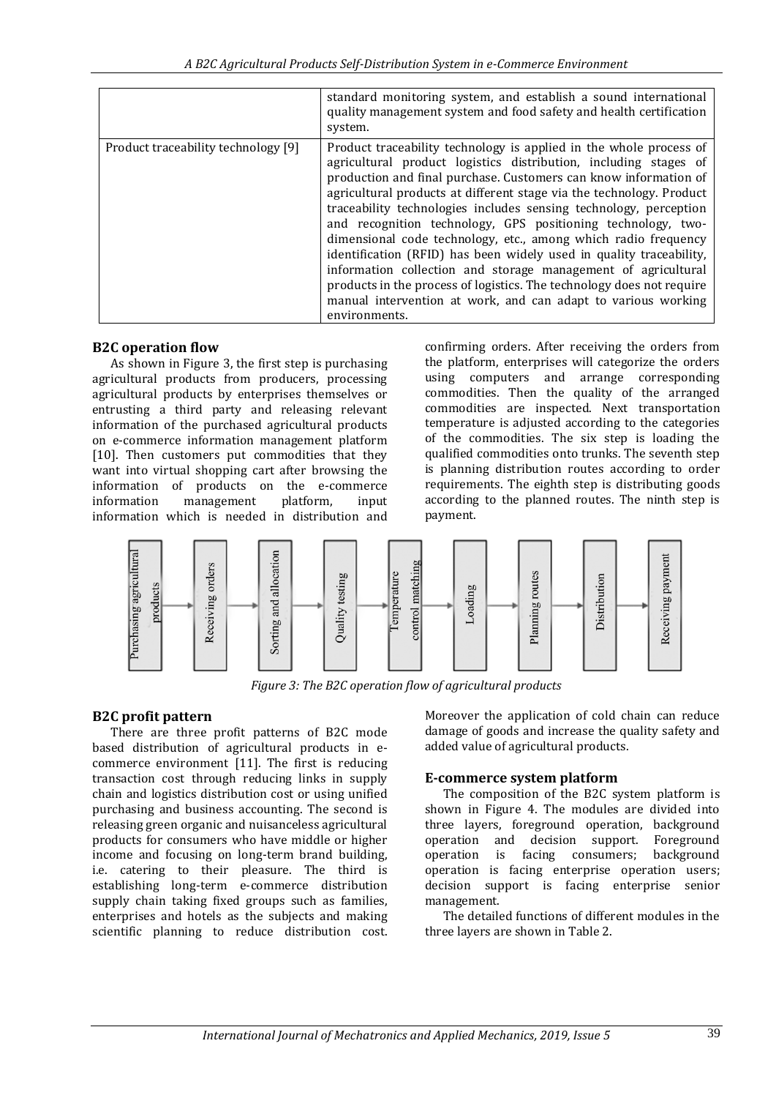|                                     | standard monitoring system, and establish a sound international<br>quality management system and food safety and health certification<br>system.                                                                                                                                                                                                                                                                                                                                                                                                                                                                                                                                                                                                                                             |
|-------------------------------------|----------------------------------------------------------------------------------------------------------------------------------------------------------------------------------------------------------------------------------------------------------------------------------------------------------------------------------------------------------------------------------------------------------------------------------------------------------------------------------------------------------------------------------------------------------------------------------------------------------------------------------------------------------------------------------------------------------------------------------------------------------------------------------------------|
| Product traceability technology [9] | Product traceability technology is applied in the whole process of<br>agricultural product logistics distribution, including stages of<br>production and final purchase. Customers can know information of<br>agricultural products at different stage via the technology. Product<br>traceability technologies includes sensing technology, perception<br>and recognition technology, GPS positioning technology, two-<br>dimensional code technology, etc., among which radio frequency<br>identification (RFID) has been widely used in quality traceability,<br>information collection and storage management of agricultural<br>products in the process of logistics. The technology does not require<br>manual intervention at work, and can adapt to various working<br>environments. |

### **B2C operation flow**

As shown in Figure 3, the first step is purchasing agricultural products from producers, processing agricultural products by enterprises themselves or entrusting a third party and releasing relevant information of the purchased agricultural products on e-commerce information management platform [10]. Then customers put commodities that they want into virtual shopping cart after browsing the information of products on the e-commerce information management platform, input information which is needed in distribution and

confirming orders. After receiving the orders from the platform, enterprises will categorize the orders using computers and arrange corresponding commodities. Then the quality of the arranged commodities are inspected. Next transportation temperature is adjusted according to the categories of the commodities. The six step is loading the qualified commodities onto trunks. The seventh step is planning distribution routes according to order requirements. The eighth step is distributing goods according to the planned routes. The ninth step is payment.



*Figure 3: The B2C operation flow of agricultural products*

### **B2C profit pattern**

There are three profit patterns of B2C mode based distribution of agricultural products in ecommerce environment [11]. The first is reducing transaction cost through reducing links in supply chain and logistics distribution cost or using unified purchasing and business accounting. The second is releasing green organic and nuisanceless agricultural products for consumers who have middle or higher income and focusing on long-term brand building, i.e. catering to their pleasure. The third is establishing long-term e-commerce distribution supply chain taking fixed groups such as families, enterprises and hotels as the subjects and making scientific planning to reduce distribution cost.

Moreover the application of cold chain can reduce damage of goods and increase the quality safety and added value of agricultural products.

### **E-commerce system platform**

The composition of the B2C system platform is shown in Figure 4. The modules are divided into three layers, foreground operation, background operation and decision support. Foreground operation is facing consumers; background operation is facing enterprise operation users; decision support is facing enterprise senior management.

The detailed functions of different modules in the three layers are shown in Table 2.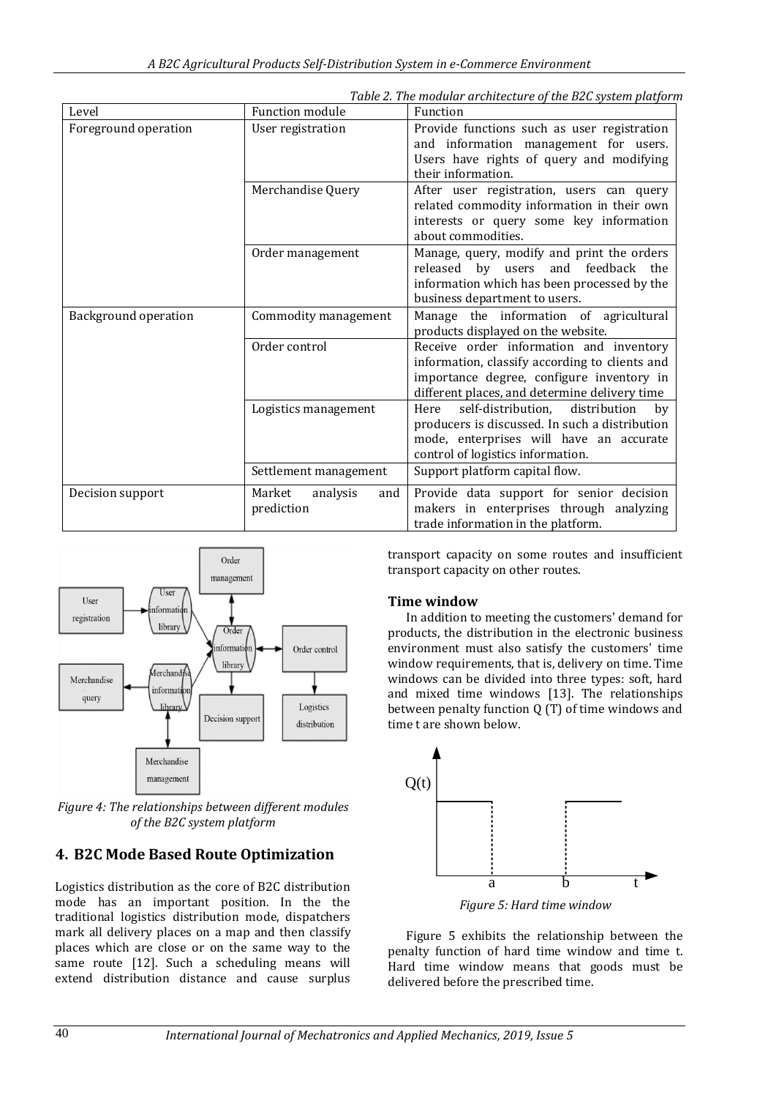| Level                       | <b>Function module</b>                  | Function                                                                                                                                                                                |  |  |
|-----------------------------|-----------------------------------------|-----------------------------------------------------------------------------------------------------------------------------------------------------------------------------------------|--|--|
| Foreground operation        | User registration                       | Provide functions such as user registration<br>and information management for users.<br>Users have rights of query and modifying<br>their information.                                  |  |  |
|                             | Merchandise Query                       | After user registration, users can query<br>related commodity information in their own<br>interests or query some key information<br>about commodities.                                 |  |  |
|                             | Order management                        | Manage, query, modify and print the orders<br>released by users<br>and feedback<br>the<br>information which has been processed by the<br>business department to users.                  |  |  |
| <b>Background operation</b> | Commodity management                    | Manage the information of agricultural<br>products displayed on the website.                                                                                                            |  |  |
|                             | Order control                           | Receive order information and inventory<br>information, classify according to clients and<br>importance degree, configure inventory in<br>different places, and determine delivery time |  |  |
|                             | Logistics management                    | self-distribution,<br>distribution<br>Here<br>by<br>producers is discussed. In such a distribution<br>mode, enterprises will have an accurate<br>control of logistics information.      |  |  |
|                             | Settlement management                   | Support platform capital flow.                                                                                                                                                          |  |  |
| Decision support            | Market<br>analysis<br>and<br>prediction | Provide data support for senior decision<br>makers in enterprises through analyzing<br>trade information in the platform.                                                               |  |  |

*Table 2. The modular architecture of the B2C system platform*



*Figure 4: The relationships between different modules of the B2C system platform*

# **4. B2C Mode Based Route Optimization**

Logistics distribution as the core of B2C distribution mode has an important position. In the the traditional logistics distribution mode, dispatchers mark all delivery places on a map and then classify places which are close or on the same way to the same route [12]. Such a scheduling means will extend distribution distance and cause surplus transport capacity on some routes and insufficient transport capacity on other routes.

### **Time window**

In addition to meeting the customers' demand for products, the distribution in the electronic business environment must also satisfy the customers' time window requirements, that is, delivery on time. Time windows can be divided into three types: soft, hard and mixed time windows [13]. The relationships between penalty function Q (T) of time windows and time t are shown below.



*Figure 5: Hard time window*

Figure 5 exhibits the relationship between the penalty function of hard time window and time t. Hard time window means that goods must be delivered before the prescribed time.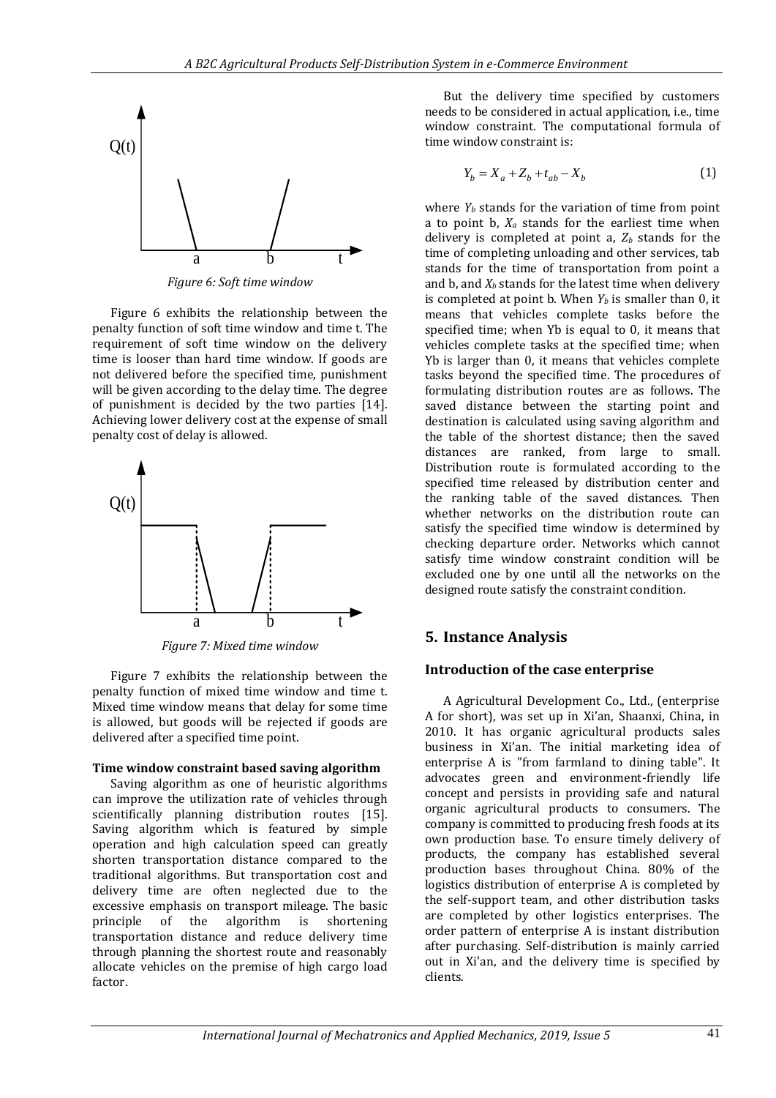

*Figure 6: Soft time window*

Figure 6 exhibits the relationship between the penalty function of soft time window and time t. The requirement of soft time window on the delivery time is looser than hard time window. If goods are not delivered before the specified time, punishment will be given according to the delay time. The degree of punishment is decided by the two parties [14]. Achieving lower delivery cost at the expense of small penalty cost of delay is allowed.



*Figure 7: Mixed time window*

Figure 7 exhibits the relationship between the penalty function of mixed time window and time t. Mixed time window means that delay for some time is allowed, but goods will be rejected if goods are delivered after a specified time point.

### **Time window constraint based saving algorithm**

Saving algorithm as one of heuristic algorithms can improve the utilization rate of vehicles through scientifically planning distribution routes [15]. Saving algorithm which is featured by simple operation and high calculation speed can greatly shorten transportation distance compared to the traditional algorithms. But transportation cost and delivery time are often neglected due to the excessive emphasis on transport mileage. The basic principle of the algorithm is shortening transportation distance and reduce delivery time through planning the shortest route and reasonably allocate vehicles on the premise of high cargo load factor.

But the delivery time specified by customers needs to be considered in actual application, i.e., time window constraint. The computational formula of time window constraint is:

$$
Y_b = X_a + Z_b + t_{ab} - X_b \tag{1}
$$

**IFFRE** (10)<br> **IFFRE** where  $\lambda$  5  $\lambda$  a point in  $X_1 = X_2 \times Z_3$ .<br> **IFFRE** is a point in  $X_2$  sampled a point in  $X_3$  and  $X_4$  and  $X_5$  and  $X_6$  are point in  $X_5$  and  $X_6$  are  $X_7$  and  $X_8$  and  $X_7$  are  $X_8$  ( where  $Y_b$  stands for the variation of time from point a to point b,  $X_a$  stands for the earliest time when delivery is completed at point a,  $Z_b$  stands for the time of completing unloading and other services, tab stands for the time of transportation from point a and b, and *X<sup>b</sup>* stands for the latest time when delivery is completed at point b. When *Y<sup>b</sup>* is smaller than 0, it means that vehicles complete tasks before the specified time; when Yb is equal to 0, it means that vehicles complete tasks at the specified time; when Yb is larger than 0, it means that vehicles complete tasks beyond the specified time. The procedures of formulating distribution routes are as follows. The saved distance between the starting point and destination is calculated using saving algorithm and the table of the shortest distance; then the saved distances are ranked, from large to small. Distribution route is formulated according to the specified time released by distribution center and the ranking table of the saved distances. Then whether networks on the distribution route can satisfy the specified time window is determined by checking departure order. Networks which cannot satisfy time window constraint condition will be excluded one by one until all the networks on the designed route satisfy the constraint condition.

# **5. Instance Analysis**

### **Introduction of the case enterprise**

A Agricultural Development Co., Ltd., (enterprise A for short), was set up in Xi'an, Shaanxi, China, in 2010. It has organic agricultural products sales business in Xi'an. The initial marketing idea of enterprise A is "from farmland to dining table". It advocates green and environment-friendly life concept and persists in providing safe and natural organic agricultural products to consumers. The company is committed to producing fresh foods at its own production base. To ensure timely delivery of products, the company has established several production bases throughout China. 80% of the logistics distribution of enterprise A is completed by the self-support team, and other distribution tasks are completed by other logistics enterprises. The order pattern of enterprise A is instant distribution after purchasing. Self-distribution is mainly carried out in Xi'an, and the delivery time is specified by clients.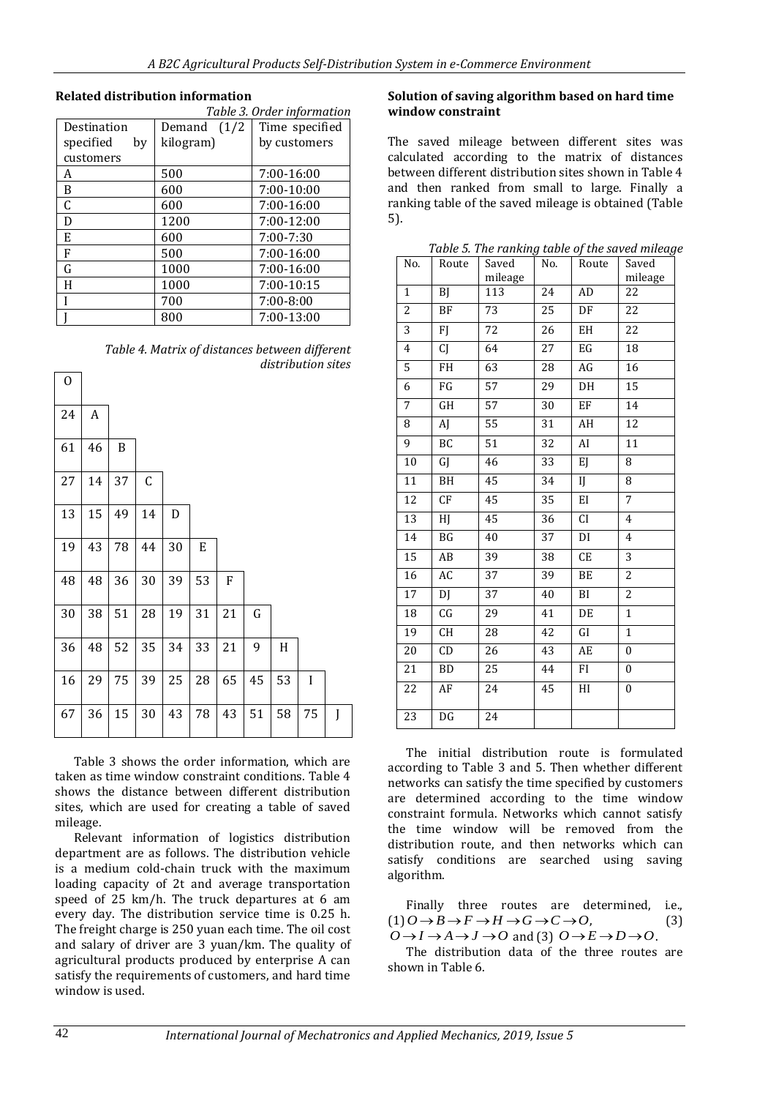### **Related distribution information**

|                 | Table 3. Order information |                |  |  |  |  |
|-----------------|----------------------------|----------------|--|--|--|--|
| Destination     | (1/2)<br>Demand            | Time specified |  |  |  |  |
| specified<br>by | kilogram)                  | by customers   |  |  |  |  |
| customers       |                            |                |  |  |  |  |
| A               | 500                        | 7:00-16:00     |  |  |  |  |
| B               | 600                        | $7:00-10:00$   |  |  |  |  |
| C               | 600                        | 7:00-16:00     |  |  |  |  |
| D               | 1200                       | $7:00-12:00$   |  |  |  |  |
| E               | 600                        | $7:00 - 7:30$  |  |  |  |  |
| F               | 500                        | 7:00-16:00     |  |  |  |  |
| G               | 1000                       | 7:00-16:00     |  |  |  |  |
| H               | 1000                       | 7:00-10:15     |  |  |  |  |
|                 | 700                        | $7:00 - 8:00$  |  |  |  |  |
|                 | 800                        | 7:00-13:00     |  |  |  |  |

*Table 4. Matrix of distances between different distribution sites*

| 0  |                  |    |             |    |    |    |           |    |    |   |
|----|------------------|----|-------------|----|----|----|-----------|----|----|---|
| 24 | $\boldsymbol{A}$ |    |             |    |    |    |           |    |    |   |
| 61 | 46               | B  |             |    |    |    |           |    |    |   |
| 27 | 14               | 37 | $\mathsf C$ |    |    |    |           |    |    |   |
| 13 | 15               | 49 | 14          | D  |    |    |           |    |    |   |
| 19 | 43               | 78 | 44          | 30 | E  |    |           |    |    |   |
| 48 | 48               | 36 | 30          | 39 | 53 | F  |           |    |    |   |
| 30 | 38               | 51 | 28          | 19 | 31 | 21 | ${\bf G}$ |    |    |   |
| 36 | 48               | 52 | 35          | 34 | 33 | 21 | 9         | H  |    |   |
| 16 | 29               | 75 | 39          | 25 | 28 | 65 | 45        | 53 | I  |   |
| 67 | 36               | 15 | 30          | 43 | 78 | 43 | 51        | 58 | 75 | J |

Table 3 shows the order information, which are taken as time window constraint conditions. Table 4 shows the distance between different distribution sites, which are used for creating a table of saved mileage.

Relevant information of logistics distribution department are as follows. The distribution vehicle is a medium cold-chain truck with the maximum loading capacity of 2t and average transportation speed of 25 km/h. The truck departures at 6 am every day. The distribution service time is 0.25 h. The freight charge is 250 yuan each time. The oil cost and salary of driver are 3 yuan/km. The quality of agricultural products produced by enterprise A can satisfy the requirements of customers, and hard time window is used.

### **Solution of saving algorithm based on hard time window constraint**

The saved mileage between different sites was calculated according to the matrix of distances between different distribution sites shown in Table 4 and then ranked from small to large. Finally a ranking table of the saved mileage is obtained (Table 5).

| No.             | Route     | Saved   | No.             | Route      | Saved            |
|-----------------|-----------|---------|-----------------|------------|------------------|
|                 |           | mileage |                 |            | mileage          |
| $\mathbf{1}$    | <b>BJ</b> | 113     | 24              | ${\rm AD}$ | 22               |
| $\overline{2}$  | <b>BF</b> | 73      | 25              | DF         | 22               |
| $\overline{3}$  | FJ        | 72      | 26              | EH         | 22               |
| $\overline{4}$  | CJ        | 64      | 27              | EG         | 18               |
| 5               | FH        | 63      | 28              | AG         | 16               |
| 6               | FG        | 57      | 29              | DH         | 15               |
| 7               | GH        | 57      | 30              | EF         | 14               |
| 8               | AJ        | 55      | 31              | AH         | 12               |
| 9               | BC        | 51      | 32              | AI         | 11               |
| 10              | GJ        | 46      | 33              | EJ         | 8                |
| 11              | BH        | 45      | 34              | IJ         | 8                |
| $\overline{12}$ | CF        | 45      | 35              | EI         | $\overline{7}$   |
| $\overline{13}$ | HJ        | 45      | 36              | <b>CI</b>  | $\overline{4}$   |
| $\overline{14}$ | BG        | 40      | 37              | DI         | $\overline{4}$   |
| 15              | AB        | 39      | 38              | CE         | $\overline{3}$   |
| $\overline{16}$ | AC        | 37      | 39              | BE         | $\overline{2}$   |
| 17              | DJ        | 37      | 40              | BI         | $\overline{c}$   |
| 18              | CG        | 29      | 41              | DE         | $\mathbf{1}$     |
| $\overline{19}$ | <b>CH</b> | 28      | 42              | GI         | $\mathbf{1}$     |
| 20              | CD        | 26      | 43              | AE         | $\mathbf{0}$     |
| 21              | BD        | 25      | 44              | FI.        | $\boldsymbol{0}$ |
| $\overline{22}$ | AF        | 24      | $\overline{45}$ | HI         | $\mathbf{0}$     |
| 23              | DG        | 24      |                 |            |                  |

*Table 5. The ranking table of the saved mileage*

The initial distribution route is formulated according to Table 3 and 5. Then whether different networks can satisfy the time specified by customers are determined according to the time window constraint formula. Networks which cannot satisfy the time window will be removed from the distribution route, and then networks which can satisfy conditions are searched using saving algorithm.

Finally three routes are determined, i.e.,  $(1)$  $O \rightarrow B \rightarrow F \rightarrow H \rightarrow G \rightarrow C \rightarrow O$ , (3)  $O \rightarrow I \rightarrow A \rightarrow J \rightarrow O$  and (3)  $O \rightarrow E \rightarrow D \rightarrow O$ .

The distribution data of the three routes are shown in Table 6.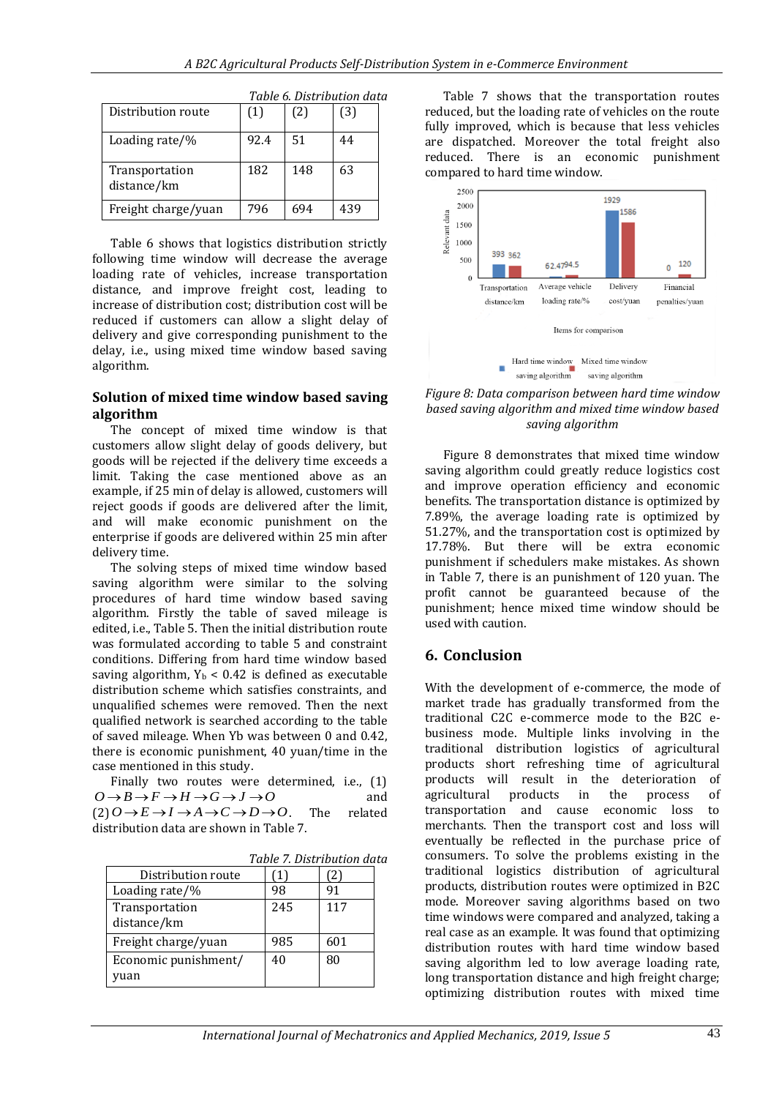|                               |      |     | Tuble of Discribution aut |
|-------------------------------|------|-----|---------------------------|
| Distribution route            | (1)  | (2) | (3)                       |
| Loading rate/%                | 92.4 | 51  | 44                        |
| Transportation<br>distance/km | 182  | 148 | 63                        |
| Freight charge/yuan           | 796  | 694 | 439                       |

*Table 6. Distribution data*

Table 6 shows that logistics distribution strictly following time window will decrease the average loading rate of vehicles, increase transportation distance, and improve freight cost, leading to increase of distribution cost; distribution cost will be reduced if customers can allow a slight delay of delivery and give corresponding punishment to the delay, i.e., using mixed time window based saving algorithm.

### **Solution of mixed time window based saving algorithm**

The concept of mixed time window is that customers allow slight delay of goods delivery, but goods will be rejected if the delivery time exceeds a limit. Taking the case mentioned above as an example, if 25 min of delay is allowed, customers will reject goods if goods are delivered after the limit, and will make economic punishment on the enterprise if goods are delivered within 25 min after delivery time.

The solving steps of mixed time window based saving algorithm were similar to the solving procedures of hard time window based saving algorithm. Firstly the table of saved mileage is edited, i.e., Table 5. Then the initial distribution route was formulated according to table 5 and constraint conditions. Differing from hard time window based saving algorithm,  $Y_b$  < 0.42 is defined as executable distribution scheme which satisfies constraints, and unqualified schemes were removed. Then the next qualified network is searched according to the table of saved mileage. When Yb was between 0 and 0.42, there is economic punishment, 40 yuan/time in the case mentioned in this study.

Finally two routes were determined, i.e., (1)  $O \rightarrow B \rightarrow F \rightarrow H \rightarrow G \rightarrow J \rightarrow O$ and  $(2) O \rightarrow E \rightarrow I \rightarrow A \rightarrow C \rightarrow D \rightarrow O$ . The related distribution data are shown in Table 7.

|                               |     | Tubic 7: Discribution auct |
|-------------------------------|-----|----------------------------|
| Distribution route            |     | $\mathbf{2}_{1}$           |
| Loading rate/%                | 98  | 91                         |
| Transportation<br>distance/km | 245 | 117                        |
| Freight charge/yuan           | 985 | 601                        |
| Economic punishment/<br>vuan  | 40  | 80                         |

*Table 7. Distribution data*

Table 7 shows that the transportation routes reduced, but the loading rate of vehicles on the route fully improved, which is because that less vehicles are dispatched. Moreover the total freight also reduced. There is an economic punishment compared to hard time window.



*Figure 8: Data comparison between hard time window based saving algorithm and mixed time window based saving algorithm*

Figure 8 demonstrates that mixed time window saving algorithm could greatly reduce logistics cost and improve operation efficiency and economic benefits. The transportation distance is optimized by 7.89%, the average loading rate is optimized by 51.27%, and the transportation cost is optimized by 17.78%. But there will be extra economic punishment if schedulers make mistakes. As shown in Table 7, there is an punishment of 120 yuan. The profit cannot be guaranteed because of the punishment; hence mixed time window should be .<br>used with caution

# **6. Conclusion**

With the development of e-commerce, the mode of market trade has gradually transformed from the traditional C2C e-commerce mode to the B2C ebusiness mode. Multiple links involving in the traditional distribution logistics of agricultural products short refreshing time of agricultural products will result in the deterioration of agricultural products in the process of transportation and cause economic loss to merchants. Then the transport cost and loss will eventually be reflected in the purchase price of consumers. To solve the problems existing in the traditional logistics distribution of agricultural products, distribution routes were optimized in B2C mode. Moreover saving algorithms based on two time windows were compared and analyzed, taking a real case as an example. It was found that optimizing distribution routes with hard time window based saving algorithm led to low average loading rate, long transportation distance and high freight charge; optimizing distribution routes with mixed time